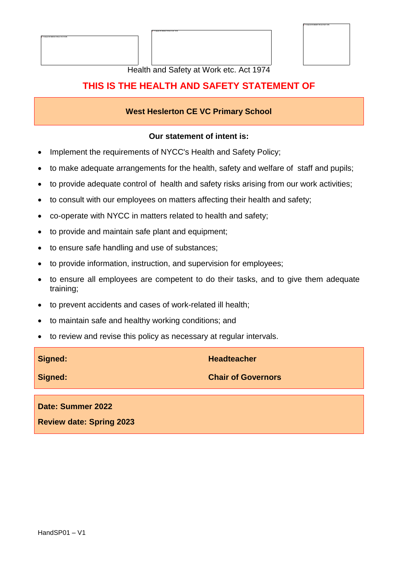



Health and Safety at Work etc. Act 1974

### **THIS IS THE HEALTH AND SAFETY STATEMENT OF**

#### **West Heslerton CE VC Primary School**

#### **Our statement of intent is:**

- Implement the requirements of NYCC's Health and Safety Policy;
- to make adequate arrangements for the health, safety and welfare of staff and pupils;
- to provide adequate control of health and safety risks arising from our work activities;
- to consult with our employees on matters affecting their health and safety;
- co-operate with NYCC in matters related to health and safety;
- to provide and maintain safe plant and equipment;
- to ensure safe handling and use of substances;
- to provide information, instruction, and supervision for employees;
- to ensure all employees are competent to do their tasks, and to give them adequate training;
- to prevent accidents and cases of work-related ill health;
- to maintain safe and healthy working conditions; and
- to review and revise this policy as necessary at regular intervals.

| Signed:           | <b>Headteacher</b>        |
|-------------------|---------------------------|
| Signed:           | <b>Chair of Governors</b> |
|                   |                           |
| Date: Summer 2022 |                           |

**Review date: Spring 2023**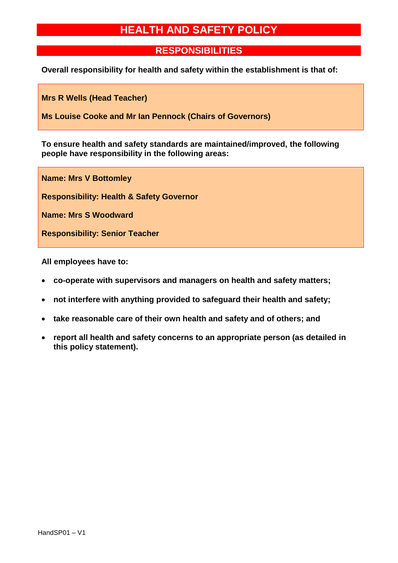# **HEALTH AND SAFETY POLICY**

### **RESPONSIBILITIES**

**Overall responsibility for health and safety within the establishment is that of:**

**Mrs R Wells (Head Teacher)**

**Ms Louise Cooke and Mr Ian Pennock (Chairs of Governors)**

**To ensure health and safety standards are maintained/improved, the following people have responsibility in the following areas:**

**Name: Mrs V Bottomley Responsibility: Health & Safety Governor Name: Mrs S Woodward Responsibility: Senior Teacher**

**All employees have to:**

- **co-operate with supervisors and managers on health and safety matters;**
- **not interfere with anything provided to safeguard their health and safety;**
- **take reasonable care of their own health and safety and of others; and**
- **report all health and safety concerns to an appropriate person (as detailed in this policy statement).**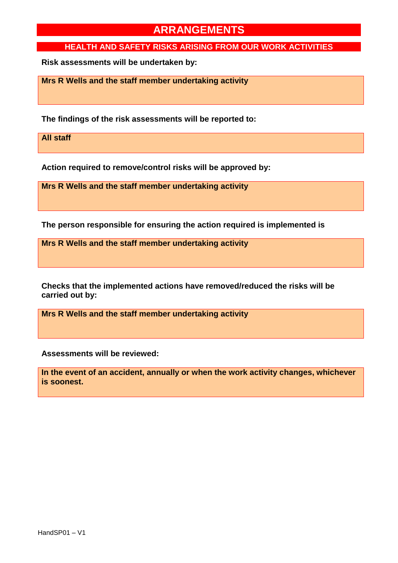#### **HEALTH AND SAFETY RISKS ARISING FROM OUR WORK ACTIVITIES**

**Risk assessments will be undertaken by:**

**Mrs R Wells and the staff member undertaking activity**

**The findings of the risk assessments will be reported to:**

**All staff**

**Action required to remove/control risks will be approved by:**

**Mrs R Wells and the staff member undertaking activity**

**The person responsible for ensuring the action required is implemented is**

**Mrs R Wells and the staff member undertaking activity**

**Checks that the implemented actions have removed/reduced the risks will be carried out by:**

**Mrs R Wells and the staff member undertaking activity**

**Assessments will be reviewed:**

**In the event of an accident, annually or when the work activity changes, whichever is soonest.**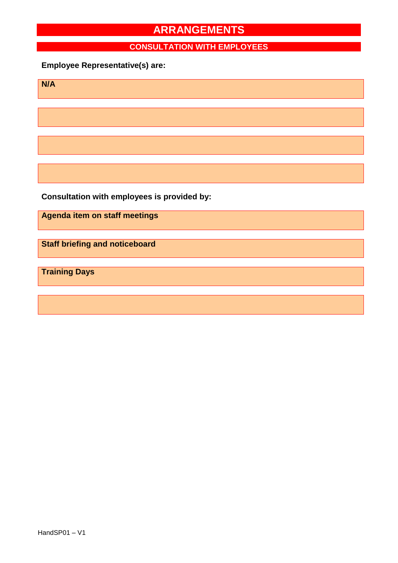### **CONSULTATION WITH EMPLOYEES**

### **Employee Representative(s) are:**

**N/A**

**Consultation with employees is provided by:**

**Agenda item on staff meetings**

**Staff briefing and noticeboard**

**Training Days**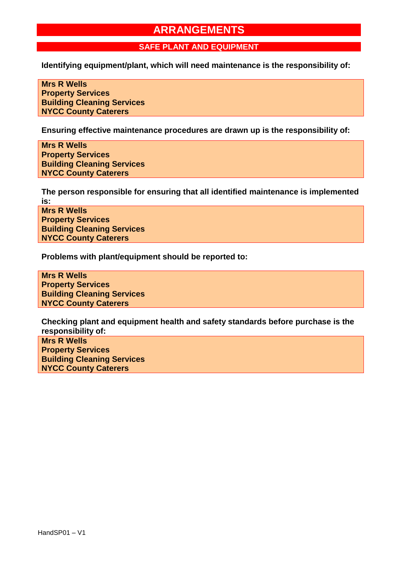#### **SAFE PLANT AND EQUIPMENT**

**Identifying equipment/plant, which will need maintenance is the responsibility of:**

**Mrs R Wells Property Services Building Cleaning Services NYCC County Caterers**

**Ensuring effective maintenance procedures are drawn up is the responsibility of:**

**Mrs R Wells Property Services Building Cleaning Services NYCC County Caterers**

**The person responsible for ensuring that all identified maintenance is implemented is:**

**Mrs R Wells Property Services Building Cleaning Services NYCC County Caterers**

**Problems with plant/equipment should be reported to:** 

**Mrs R Wells Property Services Building Cleaning Services NYCC County Caterers**

**Checking plant and equipment health and safety standards before purchase is the responsibility of:**

**Mrs R Wells Property Services Building Cleaning Services NYCC County Caterers**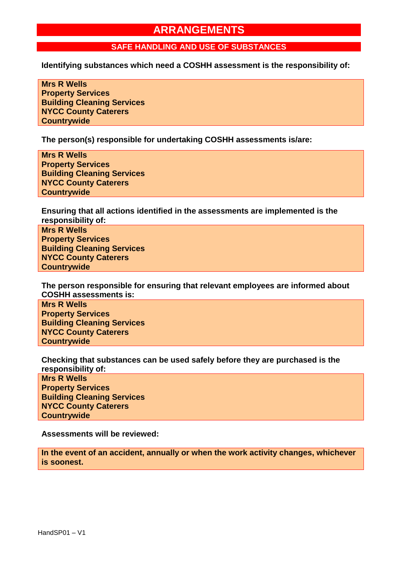#### **SAFE HANDLING AND USE OF SUBSTANCES**

**Identifying substances which need a COSHH assessment is the responsibility of:**

**Mrs R Wells Property Services Building Cleaning Services NYCC County Caterers Countrywide**

**The person(s) responsible for undertaking COSHH assessments is/are:**

**Mrs R Wells Property Services Building Cleaning Services NYCC County Caterers Countrywide**

**Ensuring that all actions identified in the assessments are implemented is the responsibility of:**

**Mrs R Wells Property Services Building Cleaning Services NYCC County Caterers Countrywide**

**The person responsible for ensuring that relevant employees are informed about COSHH assessments is:**

**Mrs R Wells Property Services Building Cleaning Services NYCC County Caterers Countrywide**

**Checking that substances can be used safely before they are purchased is the responsibility of:**

**Mrs R Wells Property Services Building Cleaning Services NYCC County Caterers Countrywide**

**Assessments will be reviewed:**

**In the event of an accident, annually or when the work activity changes, whichever is soonest.**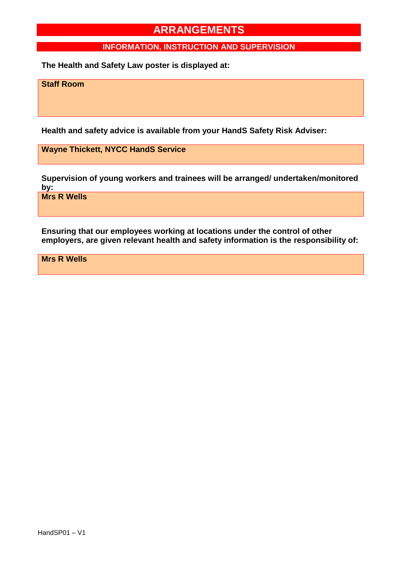#### **INFORMATION, INSTRUCTION AND SUPERVISION**

**The Health and Safety Law poster is displayed at:**

**Staff Room**

**Health and safety advice is available from your HandS Safety Risk Adviser:**

**Wayne Thickett, NYCC HandS Service**

**Supervision of young workers and trainees will be arranged/ undertaken/monitored by:**

**Mrs R Wells**

**Ensuring that our employees working at locations under the control of other employers, are given relevant health and safety information is the responsibility of:**

**Mrs R Wells**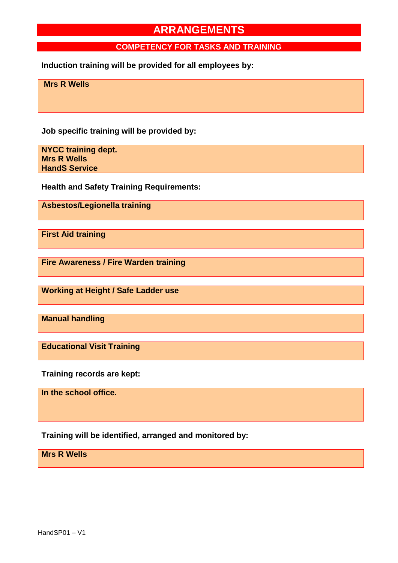#### **COMPETENCY FOR TASKS AND TRAINING**

**Induction training will be provided for all employees by:**

**Mrs R Wells**

**Job specific training will be provided by:**

**NYCC training dept. Mrs R Wells HandS Service**

**Health and Safety Training Requirements:**

**Asbestos/Legionella training**

**First Aid training**

**Fire Awareness / Fire Warden training**

**Working at Height / Safe Ladder use**

**Manual handling**

**Educational Visit Training**

**Training records are kept:**

**In the school office.**

**Training will be identified, arranged and monitored by:**

**Mrs R Wells**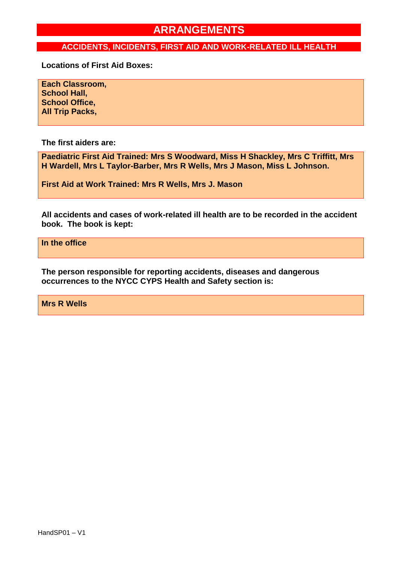#### **ACCIDENTS, INCIDENTS, FIRST AID AND WORK-RELATED ILL HEALTH**

**Locations of First Aid Boxes:**

**Each Classroom, School Hall, School Office, All Trip Packs,**

**The first aiders are:**

**Paediatric First Aid Trained: Mrs S Woodward, Miss H Shackley, Mrs C Triffitt, Mrs H Wardell, Mrs L Taylor-Barber, Mrs R Wells, Mrs J Mason, Miss L Johnson.**

**First Aid at Work Trained: Mrs R Wells, Mrs J. Mason**

**All accidents and cases of work-related ill health are to be recorded in the accident book. The book is kept:**

**In the office**

**The person responsible for reporting accidents, diseases and dangerous occurrences to the NYCC CYPS Health and Safety section is:**

**Mrs R Wells**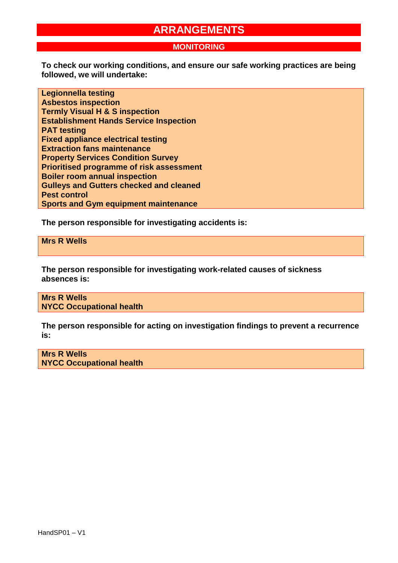#### **MONITORING**

**To check our working conditions, and ensure our safe working practices are being followed, we will undertake:**

**Legionnella testing Asbestos inspection Termly Visual H & S inspection Establishment Hands Service Inspection PAT testing Fixed appliance electrical testing Extraction fans maintenance Property Services Condition Survey Prioritised programme of risk assessment Boiler room annual inspection Gulleys and Gutters checked and cleaned Pest control Sports and Gym equipment maintenance**

**The person responsible for investigating accidents is:**

**Mrs R Wells**

**The person responsible for investigating work-related causes of sickness absences is:**

**Mrs R Wells NYCC Occupational health**

**The person responsible for acting on investigation findings to prevent a recurrence is:**

**Mrs R Wells NYCC Occupational health**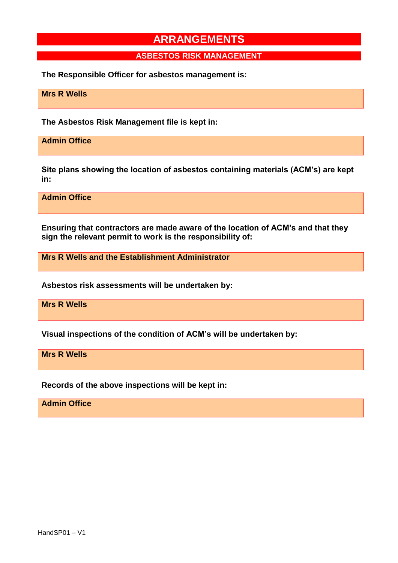#### **ASBESTOS RISK MANAGEMENT**

**The Responsible Officer for asbestos management is:**

**Mrs R Wells**

**The Asbestos Risk Management file is kept in:**

**Admin Office**

**Site plans showing the location of asbestos containing materials (ACM's) are kept in:**

**Admin Office**

**Ensuring that contractors are made aware of the location of ACM's and that they sign the relevant permit to work is the responsibility of:**

**Mrs R Wells and the Establishment Administrator**

**Asbestos risk assessments will be undertaken by:**

**Mrs R Wells**

**Visual inspections of the condition of ACM's will be undertaken by:**

**Mrs R Wells**

**Records of the above inspections will be kept in:**

**Admin Office**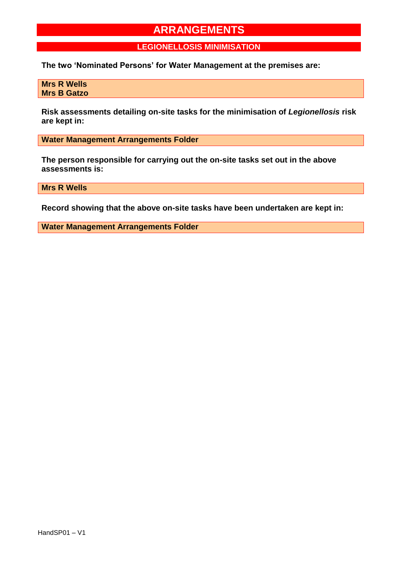**LEGIONELLOSIS MINIMISATION**

**The two 'Nominated Persons' for Water Management at the premises are:**

**Mrs R Wells Mrs B Gatzo**

**Risk assessments detailing on-site tasks for the minimisation of** *Legionellosis* **risk are kept in:**

**Water Management Arrangements Folder**

**The person responsible for carrying out the on-site tasks set out in the above assessments is:**

**Mrs R Wells**

**Record showing that the above on-site tasks have been undertaken are kept in:**

**Water Management Arrangements Folder**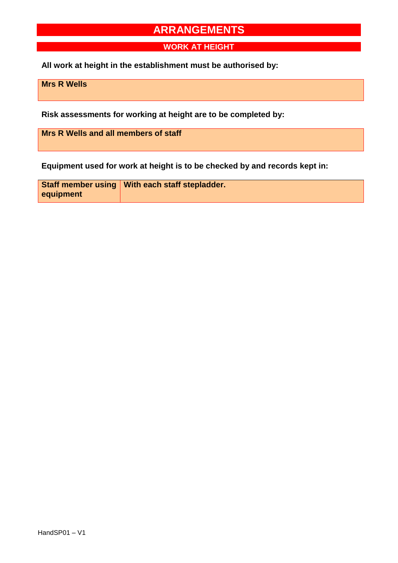**WORK AT HEIGHT**

**All work at height in the establishment must be authorised by:**

**Mrs R Wells**

**Risk assessments for working at height are to be completed by:**

**Mrs R Wells and all members of staff**

**Equipment used for work at height is to be checked by and records kept in:**

|           | Staff member using   With each staff stepladder. |
|-----------|--------------------------------------------------|
| equipment |                                                  |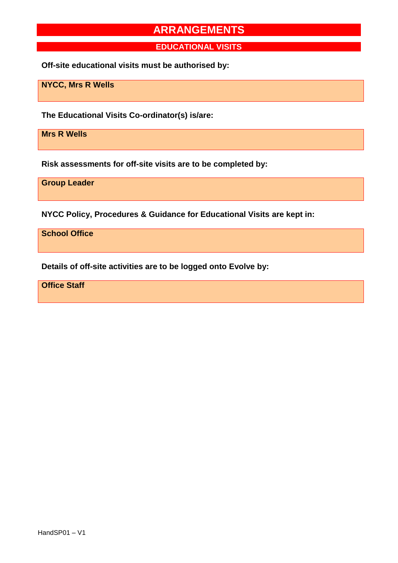**EDUCATIONAL VISITS**

**Off-site educational visits must be authorised by:**

**NYCC, Mrs R Wells**

**The Educational Visits Co-ordinator(s) is/are:**

**Mrs R Wells**

**Risk assessments for off-site visits are to be completed by:**

**Group Leader**

**NYCC Policy, Procedures & Guidance for Educational Visits are kept in:**

**School Office**

**Details of off-site activities are to be logged onto Evolve by:**

**Office Staff**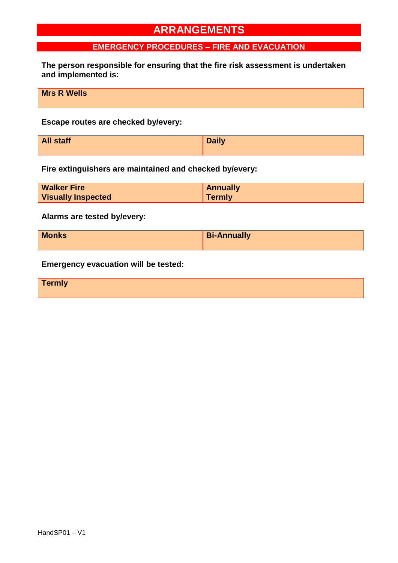### **EMERGENCY PROCEDURES – FIRE AND EVACUATION**

**The person responsible for ensuring that the fire risk assessment is undertaken and implemented is:**

**Mrs R Wells**

**Escape routes are checked by/every:**

| <b>All staff</b> | <b>Daily</b> |
|------------------|--------------|
|                  |              |

**Fire extinguishers are maintained and checked by/every:**

| <b>Walker Fire</b>        | <b>Annually</b> |
|---------------------------|-----------------|
| <b>Visually Inspected</b> | <b>Termly</b>   |

**Alarms are tested by/every:**

| <b>Monks</b> | <b>Bi-Annually</b> |
|--------------|--------------------|
|              |                    |

**Emergency evacuation will be tested:**

**Termly**